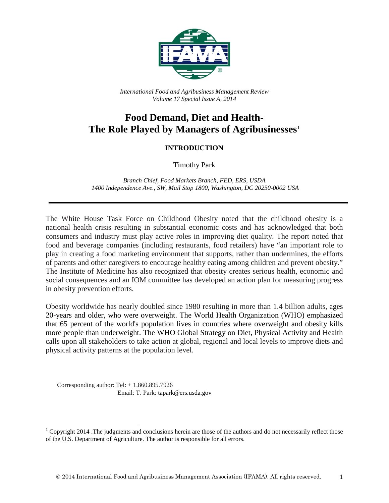

*International Food and Agribusiness Management Review Volume 17 Special Issue A, 2014*

## **Food Demand, Diet and Health-The Role Played by Managers of Agribusinesses[1](#page-0-0)**

## **INTRODUCTION**

Timothy Park

*Branch Chief, Food Markets Branch, FED, ERS, USDA 1400 Independence Ave., SW, Mail Stop 1800, Washington, DC 20250-0002 USA*

The White House Task Force on Childhood Obesity noted that the childhood obesity is a national health crisis resulting in substantial economic costs and has acknowledged that both consumers and industry must play active roles in improving diet quality. The report noted that food and beverage companies (including restaurants, food retailers) have "an important role to play in creating a food marketing environment that supports, rather than undermines, the efforts of parents and other caregivers to encourage healthy eating among children and prevent obesity." The Institute of Medicine has also recognized that obesity creates serious health, economic and social consequences and an IOM committee has developed an action plan for measuring progress in obesity prevention efforts.

Obesity worldwide has nearly doubled since 1980 resulting in more than 1.4 billion adults, ages 20-years and older, who were overweight. The World Health Organization (WHO) emphasized that 65 percent of the world's population lives in countries where overweight and obesity kills more people than underweight. The WHO Global Strategy on Diet, Physical Activity and Health calls upon all stakeholders to take action at global, regional and local levels to improve diets and physical activity patterns at the population level.

Corresponding author: Tel:  $+1.860.895.7926$ Email: T. Park: tapark@ers.usda.gov

<span id="page-0-0"></span><sup>&</sup>lt;sup>1</sup> Copyright 2014 .The judgments and conclusions herein are those of the authors and do not necessarily reflect those of the U.S. Department of Agriculture. The author is responsible for all errors.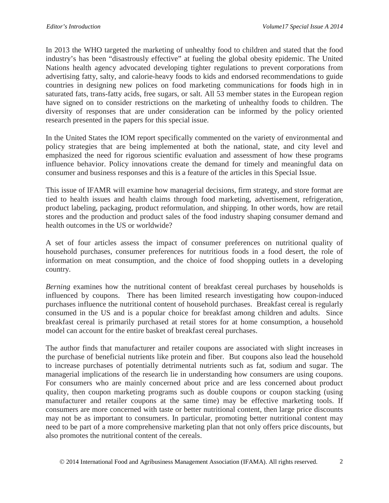In 2013 the WHO targeted the marketing of unhealthy food to children and stated that the food industry's has been "disastrously effective" at fueling the global obesity epidemic. The United Nations health agency advocated developing tighter regulations to prevent corporations from advertising fatty, salty, and calorie-heavy foods to kids and endorsed recommendations to guide countries in designing new polices on food marketing communications for foods high in in saturated fats, trans-fatty acids, free sugars, or salt. All 53 member states in the European region have signed on to consider restrictions on the marketing of unhealthy foods to children. The diversity of responses that are under consideration can be informed by the policy oriented research presented in the papers for this special issue.

In the United States the IOM report specifically commented on the variety of environmental and policy strategies that are being implemented at both the national, state, and city level and emphasized the need for rigorous scientific evaluation and assessment of how these programs influence behavior. Policy innovations create the demand for timely and meaningful data on consumer and business responses and this is a feature of the articles in this Special Issue.

This issue of IFAMR will examine how managerial decisions, firm strategy, and store format are tied to health issues and health claims through food marketing, advertisement, refrigeration, product labeling, packaging, product reformulation, and shipping. In other words, how are retail stores and the production and product sales of the food industry shaping consumer demand and health outcomes in the US or worldwide?

A set of four articles assess the impact of consumer preferences on nutritional quality of household purchases, consumer preferences for nutritious foods in a food desert, the role of information on meat consumption, and the choice of food shopping outlets in a developing country.

*Berning* examines how the nutritional content of breakfast cereal purchases by households is influenced by coupons. There has been limited research investigating how coupon-induced purchases influence the nutritional content of household purchases. Breakfast cereal is regularly consumed in the US and is a popular choice for breakfast among children and adults. Since breakfast cereal is primarily purchased at retail stores for at home consumption, a household model can account for the entire basket of breakfast cereal purchases.

The author finds that manufacturer and retailer coupons are associated with slight increases in the purchase of beneficial nutrients like protein and fiber. But coupons also lead the household to increase purchases of potentially detrimental nutrients such as fat, sodium and sugar. The managerial implications of the research lie in understanding how consumers are using coupons. For consumers who are mainly concerned about price and are less concerned about product quality, then coupon marketing programs such as double coupons or coupon stacking (using manufacturer and retailer coupons at the same time) may be effective marketing tools. If consumers are more concerned with taste or better nutritional content, then large price discounts may not be as important to consumers. In particular, promoting better nutritional content may need to be part of a more comprehensive marketing plan that not only offers price discounts, but also promotes the nutritional content of the cereals.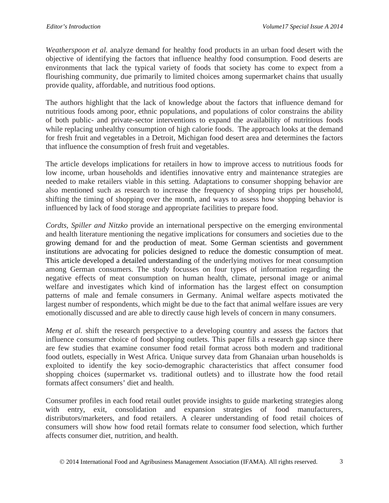*Weatherspoon et al.* analyze demand for healthy food products in an urban food desert with the objective of identifying the factors that influence healthy food consumption. Food deserts are environments that lack the typical variety of foods that society has come to expect from a flourishing community, due primarily to limited choices among supermarket chains that usually provide quality, affordable, and nutritious food options.

The authors highlight that the lack of knowledge about the factors that influence demand for nutritious foods among poor, ethnic populations, and populations of color constrains the ability of both public- and private-sector interventions to expand the availability of nutritious foods while replacing unhealthy consumption of high calorie foods. The approach looks at the demand for fresh fruit and vegetables in a Detroit, Michigan food desert area and determines the factors that influence the consumption of fresh fruit and vegetables.

The article develops implications for retailers in how to improve access to nutritious foods for low income, urban households and identifies innovative entry and maintenance strategies are needed to make retailers viable in this setting. Adaptations to consumer shopping behavior are also mentioned such as research to increase the frequency of shopping trips per household, shifting the timing of shopping over the month, and ways to assess how shopping behavior is influenced by lack of food storage and appropriate facilities to prepare food.

*Cordts, Spiller and Nitzko* provide an international perspective on the emerging environmental and health literature mentioning the negative implications for consumers and societies due to the growing demand for and the production of meat. Some German scientists and government institutions are advocating for policies designed to reduce the domestic consumption of meat. This article developed a detailed understanding of the underlying motives for meat consumption among German consumers. The study focusses on four types of information regarding the negative effects of meat consumption on human health, climate, personal image or animal welfare and investigates which kind of information has the largest effect on consumption patterns of male and female consumers in Germany. Animal welfare aspects motivated the largest number of respondents, which might be due to the fact that animal welfare issues are very emotionally discussed and are able to directly cause high levels of concern in many consumers.

*Meng et al.* shift the research perspective to a developing country and assess the factors that influence consumer choice of food shopping outlets. This paper fills a research gap since there are few studies that examine consumer food retail format across both modern and traditional food outlets, especially in West Africa. Unique survey data from Ghanaian urban households is exploited to identify the key socio-demographic characteristics that affect consumer food shopping choices (supermarket vs. traditional outlets) and to illustrate how the food retail formats affect consumers' diet and health.

Consumer profiles in each food retail outlet provide insights to guide marketing strategies along with entry, exit, consolidation and expansion strategies of food manufacturers, distributors/marketers, and food retailers. A clearer understanding of food retail choices of consumers will show how food retail formats relate to consumer food selection, which further affects consumer diet, nutrition, and health.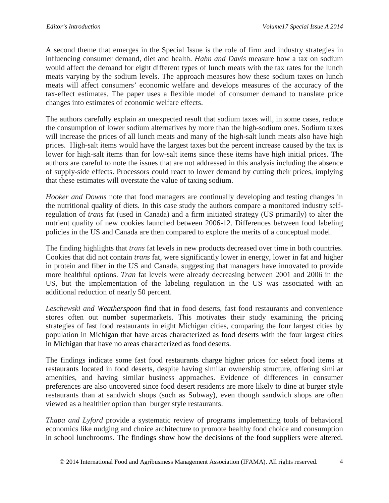A second theme that emerges in the Special Issue is the role of firm and industry strategies in influencing consumer demand, diet and health. *Hahn and Davis* measure how a tax on sodium would affect the demand for eight different types of lunch meats with the tax rates for the lunch meats varying by the sodium levels. The approach measures how these sodium taxes on lunch meats will affect consumers' economic welfare and develops measures of the accuracy of the tax-effect estimates. The paper uses a flexible model of consumer demand to translate price changes into estimates of economic welfare effects.

The authors carefully explain an unexpected result that sodium taxes will, in some cases, reduce the consumption of lower sodium alternatives by more than the high-sodium ones. Sodium taxes will increase the prices of all lunch meats and many of the high-salt lunch meats also have high prices. High-salt items would have the largest taxes but the percent increase caused by the tax is lower for high-salt items than for low-salt items since these items have high initial prices. The authors are careful to note the issues that are not addressed in this analysis including the absence of supply-side effects. Processors could react to lower demand by cutting their prices, implying that these estimates will overstate the value of taxing sodium.

*Hooker and Downs* note that food managers are continually developing and testing changes in the nutritional quality of diets. In this case study the authors compare a monitored industry selfregulation of *trans* fat (used in Canada) and a firm initiated strategy (US primarily) to alter the nutrient quality of new cookies launched between 2006-12. Differences between food labeling policies in the US and Canada are then compared to explore the merits of a conceptual model.

The finding highlights that *trans* fat levels in new products decreased over time in both countries. Cookies that did not contain *trans* fat, were significantly lower in energy, lower in fat and higher in protein and fiber in the US and Canada, suggesting that managers have innovated to provide more healthful options. *Tran* fat levels were already decreasing between 2001 and 2006 in the US, but the implementation of the labeling regulation in the US was associated with an additional reduction of nearly 50 percent.

*Leschewski and Weatherspoon* find that in food deserts, fast food restaurants and convenience stores often out number supermarkets. This motivates their study examining the pricing strategies of fast food restaurants in eight Michigan cities, comparing the four largest cities by population in Michigan that have areas characterized as food deserts with the four largest cities in Michigan that have no areas characterized as food deserts.

The findings indicate some fast food restaurants charge higher prices for select food items at restaurants located in food deserts, despite having similar ownership structure, offering similar amenities, and having similar business approaches. Evidence of differences in consumer preferences are also uncovered since food desert residents are more likely to dine at burger style restaurants than at sandwich shops (such as Subway), even though sandwich shops are often viewed as a healthier option than burger style restaurants.

*Thapa and Lyford* provide a systematic review of programs implementing tools of behavioral economics like nudging and choice architecture to promote healthy food choice and consumption in school lunchrooms. The findings show how the decisions of the food suppliers were altered.